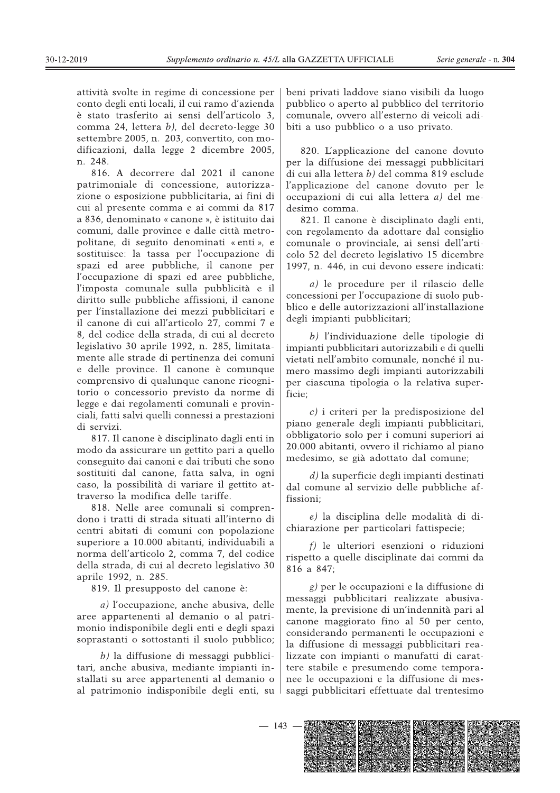attività svolte in regime di concessione per conto degli enti locali, il cui ramo d'azienda è stato trasferito ai sensi dell'articolo 3, comma 24, lettera *b*), del decreto-legge 30 settembre 2005, n. 203, convertito, con modificazioni, dalla legge 2 dicembre 2005, n. 248.

816. A decorrere dal 2021 il canone patrimoniale di concessione, autorizzazione o esposizione pubblicitaria, ai fini di cui al presente comma e ai commi da 817 a 836, denominato « canone », è istituito dai comuni, dalle province e dalle città metropolitane, di seguito denominati « enti », e sostituisce: la tassa per l'occupazione di spazi ed aree pubbliche, il canone per l'occupazione di spazi ed aree pubbliche, l'imposta comunale sulla pubblicità e il diritto sulle pubbliche affissioni, il canone per l'installazione dei mezzi pubblicitari e il canone di cui all'articolo 27, commi 7 e 8, del codice della strada, di cui al decreto legislativo 30 aprile 1992, n. 285, limitatamente alle strade di pertinenza dei comuni e delle province. Il canone è comunque comprensivo di qualunque canone ricognitorio o concessorio previsto da norme di legge e dai regolamenti comunali e provinciali, fatti salvi quelli connessi a prestazioni di servizi.

817. Il canone è disciplinato dagli enti in modo da assicurare un gettito pari a quello conseguito dai canoni e dai tributi che sono sostituiti dal canone, fatta salva, in ogni caso, la possibilità di variare il gettito attraverso la modifica delle tariffe.

818. Nelle aree comunali si comprendono i tratti di strada situati all'interno di centri abitati di comuni con popolazione superiore a 10.000 abitanti, individuabili a norma dell'articolo 2, comma 7, del codice della strada, di cui al decreto legislativo 30 aprile 1992, n. 285.

819. Il presupposto del canone è:

a) l'occupazione, anche abusiva, delle aree appartenenti al demanio o al patrimonio indisponibile degli enti e degli spazi soprastanti o sottostanti il suolo pubblico;

 $b$ ) la diffusione di messaggi pubblicitari, anche abusiva, mediante impianti installati su aree appartenenti al demanio o al patrimonio indisponibile degli enti, su

beni privati laddove siano visibili da luogo pubblico o aperto al pubblico del territorio comunale, ovvero all'esterno di veicoli adibiti a uso pubblico o a uso privato.

820. L'applicazione del canone dovuto per la diffusione dei messaggi pubblicitari di cui alla lettera b) del comma 819 esclude l'applicazione del canone dovuto per le occupazioni di cui alla lettera a) del medesimo comma.

821. Il canone è disciplinato dagli enti, con regolamento da adottare dal consiglio comunale o provinciale, ai sensi dell'articolo 52 del decreto legislativo 15 dicembre 1997, n. 446, in cui devono essere indicati:

a) le procedure per il rilascio delle concessioni per l'occupazione di suolo pubblico e delle autorizzazioni all'installazione degli impianti pubblicitari;

b) l'individuazione delle tipologie di impianti pubblicitari autorizzabili e di quelli vietati nell'ambito comunale, nonché il numero massimo degli impianti autorizzabili per ciascuna tipologia o la relativa superficie:

 $c$ ) i criteri per la predisposizione del piano generale degli impianti pubblicitari, obbligatorio solo per i comuni superiori ai 20.000 abitanti, ovvero il richiamo al piano medesimo, se già adottato dal comune;

 $d$ ) la superficie degli impianti destinati dal comune al servizio delle pubbliche affissioni;

e) la disciplina delle modalità di dichiarazione per particolari fattispecie;

 $f$ ) le ulteriori esenzioni o riduzioni rispetto a quelle disciplinate dai commi da 816 a 847:

g) per le occupazioni e la diffusione di messaggi pubblicitari realizzate abusivamente, la previsione di un'indennità pari al canone maggiorato fino al 50 per cento, considerando permanenti le occupazioni e la diffusione di messaggi pubblicitari realizzate con impianti o manufatti di carattere stabile e presumendo come temporanee le occupazioni e la diffusione di messaggi pubblicitari effettuate dal trentesimo

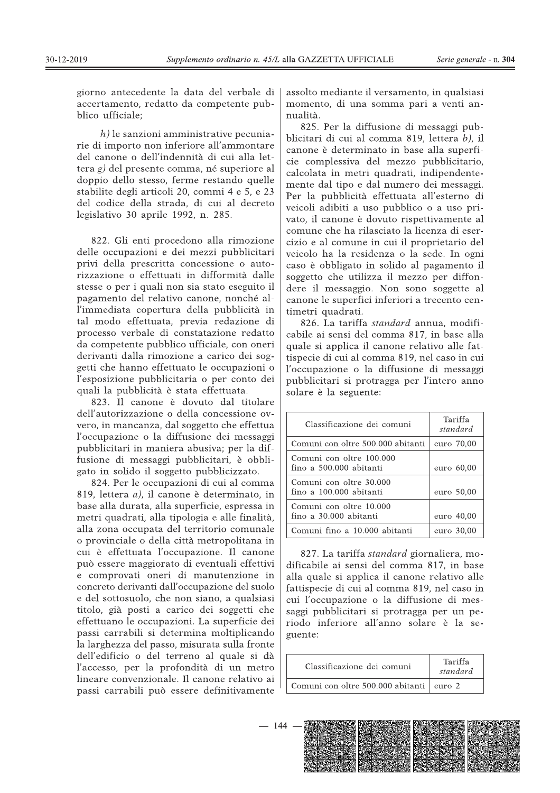giorno antecedente la data del verbale di accertamento, redatto da competente pubblico ufficiale;

 $h$ ) le sanzioni amministrative pecuniarie di importo non inferiore all'ammontare del canone o dell'indennità di cui alla let- $\frac{1}{2}$  del presente comma, né superiore al doppio dello stesso, ferme restando quelle stabilite degli articoli 20, commi 4 e 5, e 23 del codice della strada, di cui al decreto legislativo 30 aprile 1992, n. 285.

822. Gli enti procedono alla rimozione delle occupazioni e dei mezzi pubblicitari privi della prescritta concessione o autorizzazione o effettuati in difformità dalle stesse o per i quali non sia stato eseguito il pagamento del relativo canone, nonché all'immediata copertura della pubblicità in tal modo effettuata, previa redazione di processo verbale di constatazione redatto da competente pubblico ufficiale, con oneri derivanti dalla rimozione a carico dei soggetti che hanno effettuato le occupazioni o l'esposizione pubblicitaria o per conto dei quali la pubblicità è stata effettuata.

823. Il canone è dovuto dal titolare dell'autorizzazione o della concessione ovvero, in mancanza, dal soggetto che effettua l'occupazione o la diffusione dei messaggi pubblicitari in maniera abusiva; per la diffusione di messaggi pubblicitari, è obbligato in solido il soggetto pubblicizzato.

824. Per le occupazioni di cui al comma 819, lettera  $a$ ), il canone è determinato, in base alla durata, alla superficie, espressa in metri quadrati, alla tipologia e alle finalità, alla zona occupata del territorio comunale o provinciale o della città metropolitana in cui è effettuata l'occupazione. Il canone può essere maggiorato di eventuali effettivi e comprovati oneri di manutenzione in concreto derivanti dall'occupazione del suolo e del sottosuolo, che non siano, a qualsiasi titolo, già posti a carico dei soggetti che effettuano le occupazioni. La superficie dei passi carrabili si determina moltiplicando la larghezza del passo, misurata sulla fronte dell'edificio o del terreno al quale si dà l'accesso, per la profondità di un metro lineare convenzionale. Il canone relativo ai passi carrabili può essere definitivamente

Serie generale - n. **304**<br>
0, in qualsiasi<br>
ri a venti an-<br>
messaggi pub-<br>
, lettera *b*), il assolto mediante il versamento, in qualsiasi momento, di una somma pari a venti annualità.

825. Per la diffusione di messaggi pubblicitari di cui al comma 819, lettera  $b$ ), il canone è determinato in base alla superficie complessiva del mezzo pubblicitario. calcolata in metri quadrati, indipendentemente dal tipo e dal numero dei messaggi. Per la pubblicità effettuata all'esterno di veicoli adibiti a uso pubblico o a uso privato, il canone è dovuto rispettivamente al comune che ha rilasciato la licenza di esercizio e al comune in cui il proprietario del veicolo ha la residenza o la sede. In ogni caso è obbligato in solido al pagamento il soggetto che utilizza il mezzo per diffondere il messaggio. Non sono soggette al canone le superfici inferiori a trecento centimetri quadrati.

826. La tariffa standard annua, modificabile ai sensi del comma 817, in base alla quale si applica il canone relativo alle fattispecie di cui al comma 819, nel caso in cui l'occupazione o la diffusione di messaggi pubblicitari si protragga per l'intero anno solare è la seguente:

| Classificazione dei comuni                          | Tariffa<br>standard |
|-----------------------------------------------------|---------------------|
| Comuni con oltre 500.000 abitanti                   | euro 70,00          |
| Comuni con oltre 100.000<br>fino a 500.000 abitanti | euro 60,00          |
| Comuni con oltre 30.000<br>fino a 100.000 abitanti  | euro 50,00          |
| Comuni con oltre 10.000<br>fino a 30.000 abitanti   | euro 40.00          |
| Comuni fino a 10.000 abitanti                       | euro 30,00          |

827. La tariffa standard giornaliera, modificabile ai sensi del comma 817, in base alla quale si applica il canone relativo alle fattispecie di cui al comma 819, nel caso in cui l'occupazione o la diffusione di messaggi pubblicitari si protragga per un periodo inferiore all'anno solare è la seguente:

| Classificazione dei comuni                 | Tariffa<br>standard |
|--------------------------------------------|---------------------|
| Comuni con oltre 500.000 abitanti   euro 2 |                     |

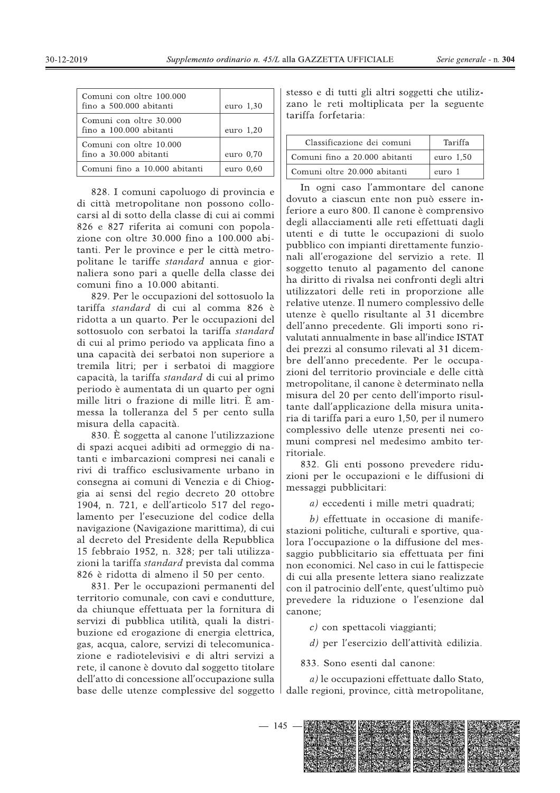| Comuni con oltre 100.000<br>fino a 500.000 abitanti | euro $1,30$ |
|-----------------------------------------------------|-------------|
| Comuni con oltre 30.000<br>fino a 100.000 abitanti  | euro 1,20   |
| Comuni con oltre 10.000<br>fino a 30.000 abitanti   | euro $0.70$ |
| Comuni fino a 10.000 abitanti                       | $euro$ 0.60 |

828. I comuni capoluogo di provincia e di città metropolitane non possono collocarsi al di sotto della classe di cui ai commi 826 e 827 riferita ai comuni con popolazione con oltre 30.000 fino a  $100.000$  abitanti. Per le province e per le città metropolitane le tariffe *standard* annua e giornaliera sono pari a quelle della classe dei comuni fino a 10.000 abitanti.

829. Per le occupazioni del sottosuolo la tariffa standard di cui al comma 826 è ridotta a un quarto. Per le occupazioni del sottosuolo con serbatoi la tariffa standard di cui al primo periodo va applicata fino a una capacità dei serbatoi non superiore a tremila litri; per i serbatoi di maggiore capacità, la tariffa *standard* di cui al primo periodo è aumentata di un quarto per ogni mille litri o frazione di mille litri. È ammessa la tolleranza del 5 per cento sulla misura della capacità.

830. È soggetta al canone l'utilizzazione di spazi acquei adibiti ad ormeggio di natanti e imbarcazioni compresi nei canali e rivi di traffico esclusivamente urbano in consegna ai comuni di Venezia e di Chioggia ai sensi del regio decreto 20 ottobre 1904, n. 721, e dell'articolo 517 del regolamento per l'esecuzione del codice della navigazione (Navigazione marittima), di cui al decreto del Presidente della Repubblica 15 febbraio 1952, n. 328; per tali utilizzazioni la tariffa *standard* prevista dal comma 826 è ridotta di almeno il 50 per cento.

831. Per le occupazioni permanenti del territorio comunale, con cavi e condutture, da chiunque effettuata per la fornitura di servizi di pubblica utilità, quali la distribuzione ed erogazione di energia elettrica, gas, acqua, calore, servizi di telecomunicazione e radiotelevisivi e di altri servizi a rete, il canone è dovuto dal soggetto titolare dell'atto di concessione all'occupazione sulla base delle utenze complessive del soggetto

ento ordinario n. 45/L alla GAZZETTA UFFICIALE Serie generale - n. 304<br>
<br>
euro 1,30 stesso e di tutti gli altri soggetti che utiliz-<br>
zano le reti moltiplicata per la seguente<br>
tariffa forfetaria:<br>
euro 1,20 Classificazion stesso e di tutti gli altri soggetti che utilizzano le reti moltiplicata per la seguente tariffa forfetaria:

| Classificazione dei comuni    | Tariffa   |
|-------------------------------|-----------|
| Comuni fino a 20.000 abitanti | euro 1,50 |
| Comuni oltre 20.000 abitanti  | euro 1    |

In ogni caso l'ammontare del canone dovuto a ciascun ente non può essere inferiore a euro 800. Il canone è comprensivo degli allacciamenti alle reti effettuati dagli utenti e di tutte le occupazioni di suolo pubblico con impianti direttamente funzionali all'erogazione del servizio a rete. Il soggetto tenuto al pagamento del canone ha diritto di rivalsa nei confronti degli altri utilizzatori delle reti in proporzione alle relative utenze. Il numero complessivo delle utenze è quello risultante al 31 dicembre dell'anno precedente. Gli importi sono rivalutati annualmente in base all'indice ISTAT dei prezzi al consumo rilevati al 31 dicembre dell'anno precedente. Per le occupazioni del territorio provinciale e delle città metropolitane, il canone è determinato nella misura del 20 per cento dell'importo risultante dall'applicazione della misura unitaria di tariffa pari a euro 1,50, per il numero complessivo delle utenze presenti nei comuni compresi nel medesimo ambito territoriale.

832. Gli enti possono prevedere riduzioni per le occupazioni e le diffusioni di messaggi pubblicitari:

a) eccedenti i mille metri quadrati;

 $b$ ) effettuate in occasione di manifestazioni politiche, culturali e sportive, qualora l'occupazione o la diffusione del messaggio pubblicitario sia effettuata per fini non economici. Nel caso in cui le fattispecie di cui alla presente lettera siano realizzate con il patrocinio dell'ente, quest'ultimo può prevedere la riduzione o l'esenzione dal canone:

 $c)$  con spettacoli viaggianti;

 $d$ ) per l'esercizio dell'attività edilizia.

833. Sono esenti dal canone:

 $a$ ) le occupazioni effettuate dallo Stato, dalle regioni, province, città metropolitane,

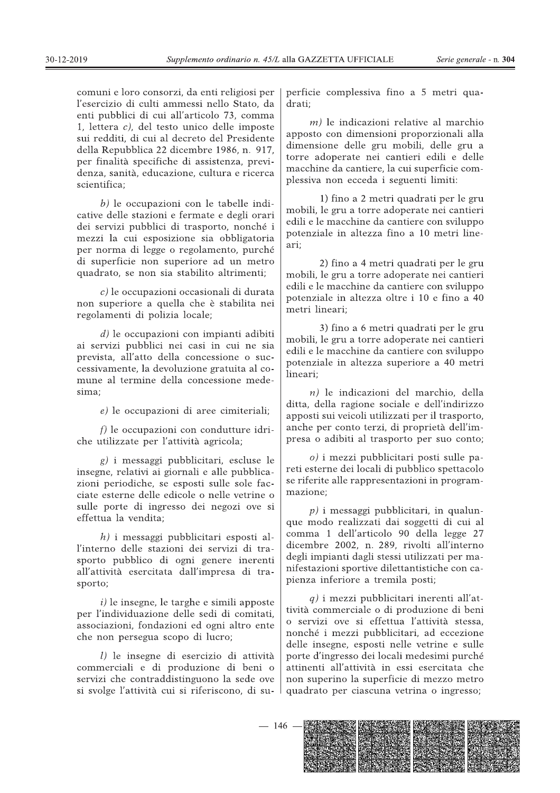comuni e loro consorzi, da enti religiosi per l'esercizio di culti ammessi nello Stato, da enti pubblici di cui all'articolo 73, comma 1, lettera  $c$ ), del testo unico delle imposte sui redditi, di cui al decreto del Presidente della Repubblica 22 dicembre 1986, n. 917, per finalità specifiche di assistenza, previdenza, sanità, educazione, cultura e ricerca scientifica:

 $b$ ) le occupazioni con le tabelle indicative delle stazioni e fermate e degli orari dei servizi pubblici di trasporto, nonché i mezzi la cui esposizione sia obbligatoria per norma di legge o regolamento, purché di superficie non superiore ad un metro quadrato, se non sia stabilito altrimenti;

c) le occupazioni occasionali di durata non superiore a quella che è stabilita nei regolamenti di polizia locale;

 $d$ ) le occupazioni con impianti adibiti ai servizi pubblici nei casi in cui ne sia prevista, all'atto della concessione o successivamente, la devoluzione gratuita al comune al termine della concessione medesima:

e) le occupazioni di aree cimiteriali;

 $f$ ) le occupazioni con condutture idriche utilizzate per l'attività agricola;

g) i messaggi pubblicitari, escluse le insegne, relativi ai giornali e alle pubblicazioni periodiche, se esposti sulle sole facciate esterne delle edicole o nelle vetrine o sulle porte di ingresso dei negozi ove si effettua la vendita;

 $h$ ) i messaggi pubblicitari esposti all'interno delle stazioni dei servizi di trasporto pubblico di ogni genere inerenti all'attività esercitata dall'impresa di trasporto:

 $i)$  le insegne, le targhe e simili apposte per l'individuazione delle sedi di comitati, associazioni, fondazioni ed ogni altro ente che non persegua scopo di lucro;

l) le insegne di esercizio di attività commerciali e di produzione di beni o servizi che contraddistinguono la sede ove si svolge l'attività cui si riferiscono, di superficie complessiva fino a 5 metri quadrati:

 $m$ ) le indicazioni relative al marchio apposto con dimensioni proporzionali alla dimensione delle gru mobili, delle gru a torre adoperate nei cantieri edili e delle macchine da cantiere, la cui superficie complessiva non ecceda i seguenti limiti:

1) fino a 2 metri quadrati per le gru mobili, le gru a torre adoperate nei cantieri edili e le macchine da cantiere con sviluppo potenziale in altezza fino a 10 metri lineari;

2) fino a 4 metri quadrati per le gru mobili, le gru a torre adoperate nei cantieri edili e le macchine da cantiere con sviluppo potenziale in altezza oltre i 10 e fino a 40 metri lineari:

3) fino a 6 metri quadrati per le gru mobili, le gru a torre adoperate nei cantieri edili e le macchine da cantiere con sviluppo potenziale in altezza superiore a 40 metri lineari:

 $n$ ) le indicazioni del marchio, della ditta, della ragione sociale e dell'indirizzo apposti sui veicoli utilizzati per il trasporto, anche per conto terzi, di proprietà dell'impresa o adibiti al trasporto per suo conto;

 $o$ ) i mezzi pubblicitari posti sulle pareti esterne dei locali di pubblico spettacolo se riferite alle rappresentazioni in programmazione:

 $p$ ) i messaggi pubblicitari, in qualunque modo realizzati dai soggetti di cui al comma 1 dell'articolo 90 della legge 27 dicembre 2002, n. 289, rivolti all'interno degli impianti dagli stessi utilizzati per manifestazioni sportive dilettantistiche con capienza inferiore a tremila posti;

 $q$ ) i mezzi pubblicitari inerenti all'attività commerciale o di produzione di beni o servizi ove si effettua l'attività stessa, nonché i mezzi pubblicitari, ad eccezione delle insegne, esposti nelle vetrine e sulle porte d'ingresso dei locali medesimi purché attinenti all'attività in essi esercitata che non superino la superficie di mezzo metro quadrato per ciascuna vetrina o ingresso;

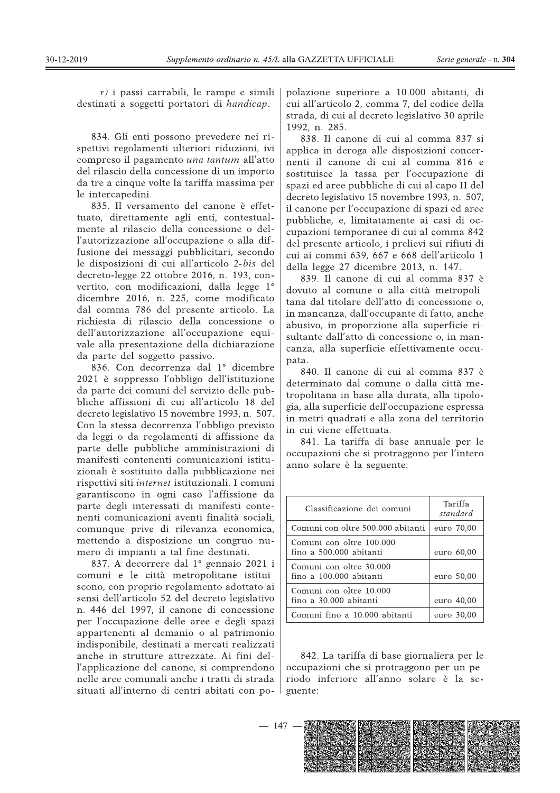$r$ ) i passi carrabili, le rampe e simili destinati a soggetti portatori di handicap.

834. Gli enti possono prevedere nei rispettivi regolamenti ulteriori riduzioni, ivi compreso il pagamento una tantum all'atto del rilascio della concessione di un importo da tre a cinque volte la tariffa massima per le intercapedini.

835. Il versamento del canone è effettuato, direttamente agli enti, contestualmente al rilascio della concessione o dell'autorizzazione all'occupazione o alla diffusione dei messaggi pubblicitari, secondo le disposizioni di cui all'articolo 2-bis del  $decreto-legge 22 ottobre 2016, n. 193, con$ vertito, con modificazioni, dalla legge 1° dicembre 2016, n. 225, come modificato dal comma 786 del presente articolo. La richiesta di rilascio della concessione o dell'autorizzazione all'occupazione equivale alla presentazione della dichiarazione da parte del soggetto passivo.

836. Con decorrenza dal 1º dicembre 2021 è soppresso l'obbligo dell'istituzione da parte dei comuni del servizio delle pubbliche affissioni di cui all'articolo 18 del decreto legislativo 15 novembre 1993, n. 507. Con la stessa decorrenza l'obbligo previsto da leggi o da regolamenti di affissione da parte delle pubbliche amministrazioni di manifesti contenenti comunicazioni istituzionali è sostituito dalla pubblicazione nei rispettivi siti internet istituzionali. I comuni garantiscono in ogni caso l'affissione da parte degli interessati di manifesti contenenti comunicazioni aventi finalità sociali, comunque prive di rilevanza economica, mettendo a disposizione un congruo numero di impianti a tal fine destinati.

837. A decorrere dal  $1^\circ$  gennaio 2021 i comuni e le città metropolitane istituiscono, con proprio regolamento adottato ai sensi dell'articolo 52 del decreto legislativo n. 446 del 1997, il canone di concessione per l'occupazione delle aree e degli spazi appartenenti al demanio o al patrimonio indisponibile, destinati a mercati realizzati anche in strutture attrezzate. Ai fini dell'applicazione del canone, si comprendono nelle aree comunali anche i tratti di strada situati all'interno di centri abitati con po-

ento ordinario n. 45/L alla GAZZETTA UFFICIALE Serie generale - n. 304<br>
e rampe e simili | polazione superiore a 10.000 abitanti, di<br>
politica della strada, di cui all'articolo 2, comma 7, del codice della<br>
strada, di cui polazione superiore a 10.000 abitanti, di cui all'articolo 2, comma 7, del codice della strada, di cui al decreto legislativo 30 aprile 1992, n. 285.

838. Il canone di cui al comma 837 si applica in deroga alle disposizioni concernenti il canone di cui al comma 816 e sostituisce la tassa per l'occupazione di spazi ed aree pubbliche di cui al capo II del decreto legislativo 15 novembre 1993, n. 507, il canone per l'occupazione di spazi ed aree pubbliche, e, limitatamente ai casi di occupazioni temporanee di cui al comma 842 del presente articolo, i prelievi sui rifiuti di cui ai commi 639, 667 e 668 dell'articolo 1 della legge 27 dicembre 2013, n. 147.

839. Il canone di cui al comma 837 è dovuto al comune o alla città metropolitana dal titolare dell'atto di concessione o, in mancanza, dall'occupante di fatto, anche abusivo, in proporzione alla superficie risultante dall'atto di concessione o, in mancanza, alla superficie effettivamente occupata.

840. Il canone di cui al comma 837 è determinato dal comune o dalla città metropolitana in base alla durata, alla tipologia, alla superficie dell'occupazione espressa in metri quadrati e alla zona del territorio in cui viene effettuata.

841. La tariffa di base annuale per le occupazioni che si protraggono per l'intero anno solare è la seguente:

| Classificazione dei comuni                          | Tariffa<br>standard |
|-----------------------------------------------------|---------------------|
| Comuni con oltre 500.000 abitanti                   | euro 70,00          |
| Comuni con oltre 100.000<br>fino a 500.000 abitanti | euro 60,00          |
| Comuni con oltre 30.000<br>fino a 100.000 abitanti  | euro 50,00          |
| Comuni con oltre 10.000<br>fino a 30.000 abitanti   | euro 40,00          |
| Comuni fino a 10.000 abitanti                       | euro 30,00          |

842. La tariffa di base giornaliera per le occupazioni che si protraggono per un periodo inferiore all'anno solare è la seguente: